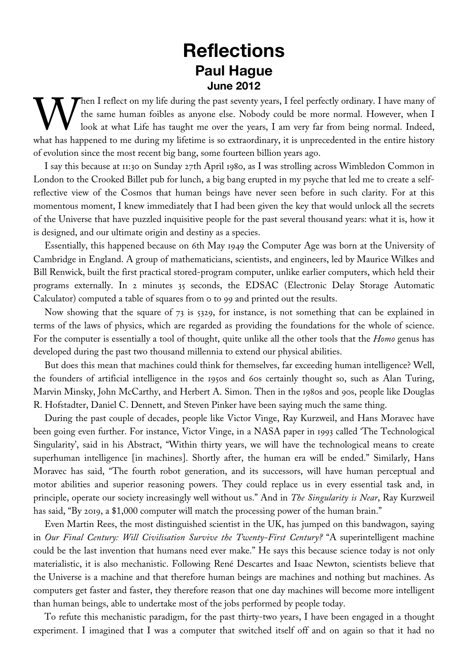## **Reflections Paul Hague June 2012**

hen I reflect on my life during the past seventy years, I feel perfectly ordinary. I have many of the same human foibles as anyone else. Nobody could be more normal. However, when I look at what Life has taught me over the years, I am very far from being normal. Indeed, When I reflect on my life during the past seventy years, I feel perfectly ordinary. I have many of the same human foibles as anyone else. Nobody could be more normal. However, when I look at what Life has taught me over th of evolution since the most recent big bang, some fourteen billion years ago.

I say this because at 11:30 on Sunday 27th April 1980, as I was strolling across Wimbledon Common in London to the Crooked Billet pub for lunch, a big bang erupted in my psyche that led me to create a selfreflective view of the Cosmos that human beings have never seen before in such clarity. For at this momentous moment, I knew immediately that I had been given the key that would unlock all the secrets of the Universe that have puzzled inquisitive people for the past several thousand years: what it is, how it is designed, and our ultimate origin and destiny as a species.

Essentially, this happened because on 6th May 1949 the Computer Age was born at the University of Cambridge in England. A group of mathematicians, scientists, and engineers, led by Maurice Wilkes and Bill Renwick, built the first practical stored-program computer, unlike earlier computers, which held their programs externally. In 2 minutes 35 seconds, the EDSAC (Electronic Delay Storage Automatic Calculator) computed a table of squares from 0 to 99 and printed out the results.

Now showing that the square of 73 is 5329, for instance, is not something that can be explained in terms of the laws of physics, which are regarded as providing the foundations for the whole of science. For the computer is essentially a tool of thought, quite unlike all the other tools that the *Homo* genus has developed during the past two thousand millennia to extend our physical abilities.

But does this mean that machines could think for themselves, far exceeding human intelligence? Well, the founders of artificial intelligence in the 1950s and 60s certainly thought so, such as Alan Turing, Marvin Minsky, John McCarthy, and Herbert A. Simon. Then in the 1980s and 90s, people like Douglas R. Hofstadter, Daniel C. Dennett, and Steven Pinker have been saying much the same thing.

During the past couple of decades, people like Victor Vinge, Ray Kurzweil, and Hans Moravec have been going even further. For instance, Victor Vinge, in a NASA paper in 1993 called 'The Technological Singularity', said in his Abstract, "Within thirty years, we will have the technological means to create superhuman intelligence [in machines]. Shortly after, the human era will be ended." Similarly, Hans Moravec has said, "The fourth robot generation, and its successors, will have human perceptual and motor abilities and superior reasoning powers. They could replace us in every essential task and, in principle, operate our society increasingly well without us." And in *The Singularity is Near*, Ray Kurzweil has said, "By 2019, a \$1,000 computer will match the processing power of the human brain."

Even Martin Rees, the most distinguished scientist in the UK, has jumped on this bandwagon, saying in *Our Final Century: Will Civilisation Survive the Twenty-First Century?* "A superintelligent machine could be the last invention that humans need ever make." He says this because science today is not only materialistic, it is also mechanistic. Following René Descartes and Isaac Newton, scientists believe that the Universe is a machine and that therefore human beings are machines and nothing but machines. As computers get faster and faster, they therefore reason that one day machines will become more intelligent than human beings, able to undertake most of the jobs performed by people today.

To refute this mechanistic paradigm, for the past thirty-two years, I have been engaged in a thought experiment. I imagined that I was a computer that switched itself off and on again so that it had no